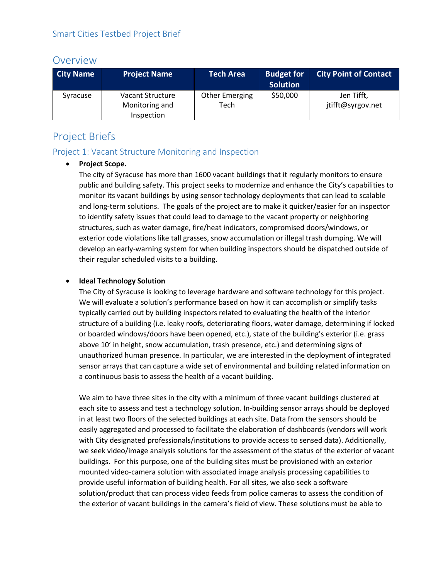# Overview

| <b>City Name</b> | <b>Project Name</b> | <b>Tech Area</b> | <b>Budget for</b><br><b>Solution</b> | <b>City Point of Contact</b> |
|------------------|---------------------|------------------|--------------------------------------|------------------------------|
| Syracuse         | Vacant Structure    | Other Emerging   | \$50,000                             | Jen Tifft,                   |
|                  | Monitoring and      | Tech             |                                      | jtifft@syrgov.net            |
|                  | Inspection          |                  |                                      |                              |

# Project Briefs

# Project 1: Vacant Structure Monitoring and Inspection

### • **Project Scope.**

The city of Syracuse has more than 1600 vacant buildings that it regularly monitors to ensure public and building safety. This project seeks to modernize and enhance the City's capabilities to monitor its vacant buildings by using sensor technology deployments that can lead to scalable and long-term solutions. The goals of the project are to make it quicker/easier for an inspector to identify safety issues that could lead to damage to the vacant property or neighboring structures, such as water damage, fire/heat indicators, compromised doors/windows, or exterior code violations like tall grasses, snow accumulation or illegal trash dumping. We will develop an early-warning system for when building inspectors should be dispatched outside of their regular scheduled visits to a building.

# • **Ideal Technology Solution**

The City of Syracuse is looking to leverage hardware and software technology for this project. We will evaluate a solution's performance based on how it can accomplish or simplify tasks typically carried out by building inspectors related to evaluating the health of the interior structure of a building (i.e. leaky roofs, deteriorating floors, water damage, determining if locked or boarded windows/doors have been opened, etc.), state of the building's exterior (i.e. grass above 10' in height, snow accumulation, trash presence, etc.) and determining signs of unauthorized human presence. In particular, we are interested in the deployment of integrated sensor arrays that can capture a wide set of environmental and building related information on a continuous basis to assess the health of a vacant building.

We aim to have three sites in the city with a minimum of three vacant buildings clustered at each site to assess and test a technology solution. In-building sensor arrays should be deployed in at least two floors of the selected buildings at each site. Data from the sensors should be easily aggregated and processed to facilitate the elaboration of dashboards (vendors will work with City designated professionals/institutions to provide access to sensed data). Additionally, we seek video/image analysis solutions for the assessment of the status of the exterior of vacant buildings. For this purpose, one of the building sites must be provisioned with an exterior mounted video-camera solution with associated image analysis processing capabilities to provide useful information of building health. For all sites, we also seek a software solution/product that can process video feeds from police cameras to assess the condition of the exterior of vacant buildings in the camera's field of view. These solutions must be able to